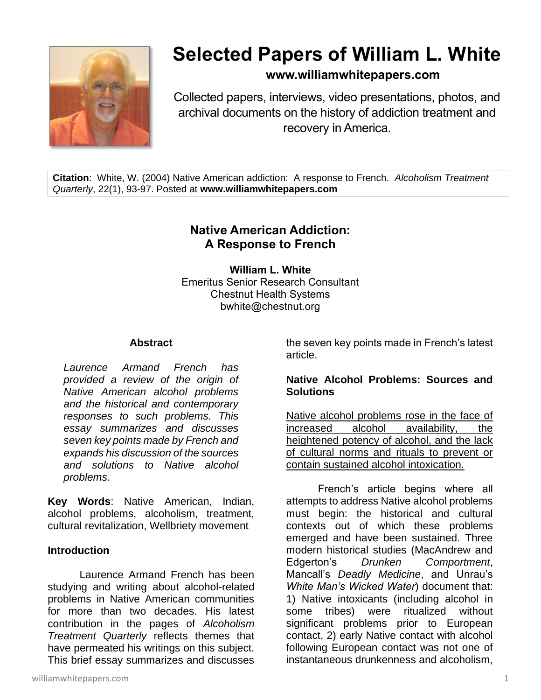

# **Selected Papers of William L. White**

# **www.williamwhitepapers.com**

Collected papers, interviews, video presentations, photos, and archival documents on the history of addiction treatment and recovery in America.

**Citation**: White, W. (2004) Native American addiction: A response to French. *Alcoholism Treatment Quarterly*, 22(1), 93-97. Posted at **www.williamwhitepapers.com**

# **Native American Addiction: A Response to French**

**William L. White** Emeritus Senior Research Consultant Chestnut Health Systems bwhite@chestnut.org

#### **Abstract**

*Laurence Armand French has provided a review of the origin of Native American alcohol problems and the historical and contemporary responses to such problems. This essay summarizes and discusses seven key points made by French and expands his discussion of the sources and solutions to Native alcohol problems.* 

**Key Words**: Native American, Indian, alcohol problems, alcoholism, treatment, cultural revitalization, Wellbriety movement

#### **Introduction**

Laurence Armand French has been studying and writing about alcohol-related problems in Native American communities for more than two decades. His latest contribution in the pages of *Alcoholism Treatment Quarterly* reflects themes that have permeated his writings on this subject. This brief essay summarizes and discusses

williamwhitepapers.com 1

the seven key points made in French's latest article.

## **Native Alcohol Problems: Sources and Solutions**

Native alcohol problems rose in the face of increased alcohol availability, the heightened potency of alcohol, and the lack of cultural norms and rituals to prevent or contain sustained alcohol intoxication.

French's article begins where all attempts to address Native alcohol problems must begin: the historical and cultural contexts out of which these problems emerged and have been sustained. Three modern historical studies (MacAndrew and Edgerton's *Drunken Comportment*, Mancall's *Deadly Medicine*, and Unrau's *White Man's Wicked Water*) document that: 1) Native intoxicants (including alcohol in some tribes) were ritualized without significant problems prior to European contact, 2) early Native contact with alcohol following European contact was not one of instantaneous drunkenness and alcoholism,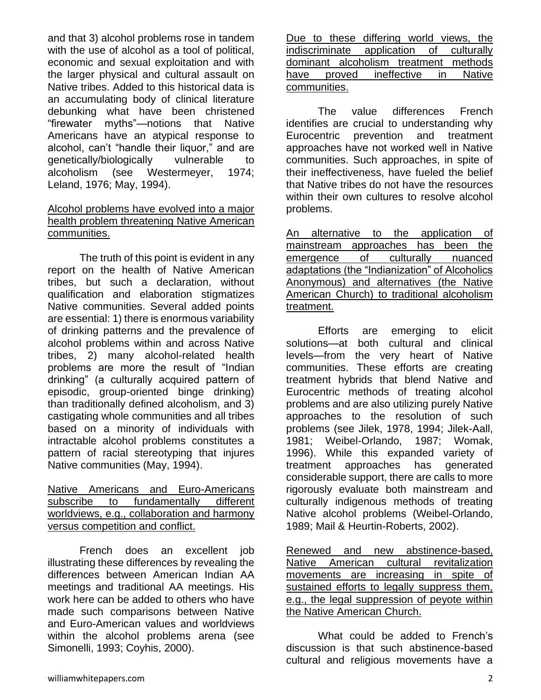and that 3) alcohol problems rose in tandem with the use of alcohol as a tool of political, economic and sexual exploitation and with the larger physical and cultural assault on Native tribes. Added to this historical data is an accumulating body of clinical literature debunking what have been christened "firewater myths"—notions that Native Americans have an atypical response to alcohol, can't "handle their liquor," and are genetically/biologically vulnerable to alcoholism (see Westermeyer, 1974; Leland, 1976; May, 1994).

#### Alcohol problems have evolved into a major health problem threatening Native American communities.

The truth of this point is evident in any report on the health of Native American tribes, but such a declaration, without qualification and elaboration stigmatizes Native communities. Several added points are essential: 1) there is enormous variability of drinking patterns and the prevalence of alcohol problems within and across Native tribes, 2) many alcohol-related health problems are more the result of "Indian drinking" (a culturally acquired pattern of episodic, group-oriented binge drinking) than traditionally defined alcoholism, and 3) castigating whole communities and all tribes based on a minority of individuals with intractable alcohol problems constitutes a pattern of racial stereotyping that injures Native communities (May, 1994).

Native Americans and Euro-Americans subscribe to fundamentally different worldviews, e.g., collaboration and harmony versus competition and conflict.

French does an excellent job illustrating these differences by revealing the differences between American Indian AA meetings and traditional AA meetings. His work here can be added to others who have made such comparisons between Native and Euro-American values and worldviews within the alcohol problems arena (see Simonelli, 1993; Coyhis, 2000).

Due to these differing world views, the indiscriminate application of culturally dominant alcoholism treatment methods have proved ineffective in Native communities.

The value differences French identifies are crucial to understanding why Eurocentric prevention and treatment approaches have not worked well in Native communities. Such approaches, in spite of their ineffectiveness, have fueled the belief that Native tribes do not have the resources within their own cultures to resolve alcohol problems.

An alternative to the application of mainstream approaches has been the emergence of culturally nuanced adaptations (the "Indianization" of Alcoholics Anonymous) and alternatives (the Native American Church) to traditional alcoholism treatment.

Efforts are emerging to elicit solutions—at both cultural and clinical levels—from the very heart of Native communities. These efforts are creating treatment hybrids that blend Native and Eurocentric methods of treating alcohol problems and are also utilizing purely Native approaches to the resolution of such problems (see Jilek, 1978, 1994; Jilek-Aall, 1981; Weibel-Orlando, 1987; Womak, 1996). While this expanded variety of treatment approaches has generated considerable support, there are calls to more rigorously evaluate both mainstream and culturally indigenous methods of treating Native alcohol problems (Weibel-Orlando, 1989; Mail & Heurtin-Roberts, 2002).

Renewed and new abstinence-based, Native American cultural revitalization movements are increasing in spite of sustained efforts to legally suppress them, e.g., the legal suppression of peyote within the Native American Church.

What could be added to French's discussion is that such abstinence-based cultural and religious movements have a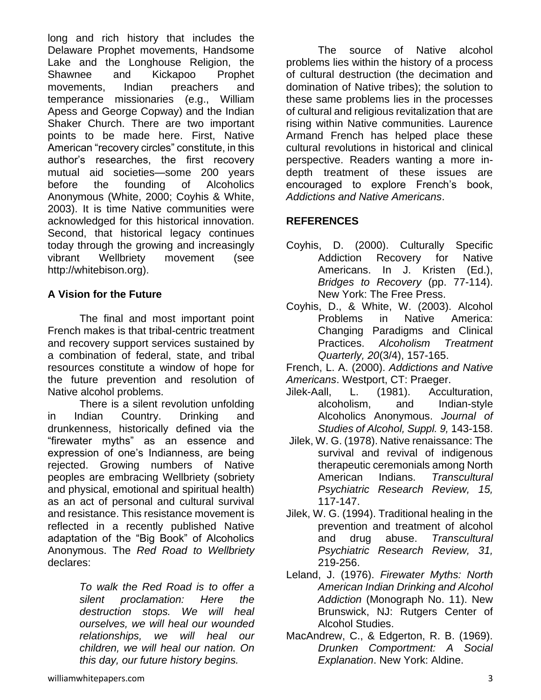long and rich history that includes the Delaware Prophet movements, Handsome Lake and the Longhouse Religion, the Shawnee and Kickapoo Prophet movements, Indian preachers and temperance missionaries (e.g., William Apess and George Copway) and the Indian Shaker Church. There are two important points to be made here. First, Native American "recovery circles" constitute, in this author's researches, the first recovery mutual aid societies—some 200 years before the founding of Alcoholics Anonymous (White, 2000; Coyhis & White, 2003). It is time Native communities were acknowledged for this historical innovation. Second, that historical legacy continues today through the growing and increasingly vibrant Wellbriety movement (see http://whitebison.org).

## **A Vision for the Future**

The final and most important point French makes is that tribal-centric treatment and recovery support services sustained by a combination of federal, state, and tribal resources constitute a window of hope for the future prevention and resolution of Native alcohol problems.

There is a silent revolution unfolding in Indian Country. Drinking and drunkenness, historically defined via the "firewater myths" as an essence and expression of one's Indianness, are being rejected. Growing numbers of Native peoples are embracing Wellbriety (sobriety and physical, emotional and spiritual health) as an act of personal and cultural survival and resistance. This resistance movement is reflected in a recently published Native adaptation of the "Big Book" of Alcoholics Anonymous. The *Red Road to Wellbriety* declares:

> *To walk the Red Road is to offer a silent proclamation: Here the destruction stops. We will heal ourselves, we will heal our wounded relationships, we will heal our children, we will heal our nation. On this day, our future history begins.*

The source of Native alcohol problems lies within the history of a process of cultural destruction (the decimation and domination of Native tribes); the solution to these same problems lies in the processes of cultural and religious revitalization that are rising within Native communities. Laurence Armand French has helped place these cultural revolutions in historical and clinical perspective. Readers wanting a more indepth treatment of these issues are encouraged to explore French's book, *Addictions and Native Americans*.

## **REFERENCES**

- Coyhis, D. (2000). Culturally Specific Addiction Recovery for Native Americans. In J. Kristen (Ed.), *Bridges to Recovery* (pp. 77-114). New York: The Free Press.
- Coyhis, D., & White, W. (2003). Alcohol Problems in Native America: Changing Paradigms and Clinical Practices. *Alcoholism Treatment Quarterly, 20*(3/4), 157-165.
- French, L. A. (2000). *Addictions and Native Americans*. Westport, CT: Praeger.
- Jilek-Aall, L. (1981). Acculturation, alcoholism, and Indian-style Alcoholics Anonymous. *Journal of Studies of Alcohol, Suppl. 9,* 143-158.
- Jilek, W. G. (1978). Native renaissance: The survival and revival of indigenous therapeutic ceremonials among North American Indians. *Transcultural Psychiatric Research Review, 15,* 117-147.
- Jilek, W. G. (1994). Traditional healing in the prevention and treatment of alcohol and drug abuse. *Transcultural Psychiatric Research Review, 31,* 219-256.
- Leland, J. (1976). *Firewater Myths: North American Indian Drinking and Alcohol Addiction* (Monograph No. 11). New Brunswick, NJ: Rutgers Center of Alcohol Studies.
- MacAndrew, C., & Edgerton, R. B. (1969). *Drunken Comportment: A Social Explanation*. New York: Aldine.